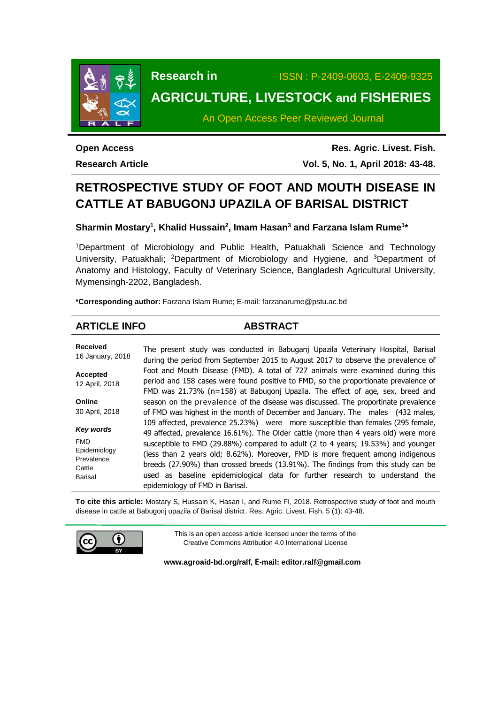

**Research in** ISSN : P-2409-0603, E-2409-9325 **AGRICULTURE, LIVESTOCK and FISHERIES**

# An Open Access Peer Reviewed Journal

**Open Access Research Article**

**Res. Agric. Livest. Fish. Vol. 5, No. 1, April 2018: 43-48.**

# **RETROSPECTIVE STUDY OF FOOT AND MOUTH DISEASE IN CATTLE AT BABUGONJ UPAZILA OF BARISAL DISTRICT**

**Sharmin Mostary<sup>1</sup> , Khalid Hussain<sup>2</sup> , Imam Hasan<sup>3</sup> and Farzana Islam Rume<sup>1</sup> \***

<sup>1</sup>Department of Microbiology and Public Health, Patuakhali Science and Technology University, Patuakhali; <sup>2</sup>Department of Microbiology and Hygiene, and <sup>3</sup>Department of Anatomy and Histology, Faculty of Veterinary Science, Bangladesh Agricultural University, Mymensingh-2202, Bangladesh.

**\*Corresponding author:** Farzana Islam Rume; E-mail[: farzanarume@pstu.ac.bd](mailto:farzanarume@pstu.ac.bd)

# **ARTICLE INFO ABSTRACT**

| <b>Received</b>                         | The present study was conducted in Babuganj Upazila Veterinary Hospital, Barisal                                                                                                                                                                                                                                                               |
|-----------------------------------------|------------------------------------------------------------------------------------------------------------------------------------------------------------------------------------------------------------------------------------------------------------------------------------------------------------------------------------------------|
| 16 January, 2018                        | during the period from September 2015 to August 2017 to observe the prevalence of                                                                                                                                                                                                                                                              |
| <b>Accepted</b><br>12 April, 2018       | Foot and Mouth Disease (FMD). A total of 727 animals were examined during this<br>period and 158 cases were found positive to FMD, so the proportionate prevalence of<br>FMD was 21.73% ( $n=158$ ) at Babugonj Upazila. The effect of age, sex, breed and                                                                                     |
| Online                                  | season on the prevalence of the disease was discussed. The proportinate prevalence                                                                                                                                                                                                                                                             |
| 30 April, 2018                          | of FMD was highest in the month of December and January. The males (432 males,                                                                                                                                                                                                                                                                 |
| Key words<br><b>FMD</b><br>Epidemiology | 109 affected, prevalence 25.23%) were more susceptible than females (295 female,<br>49 affected, prevalence 16.61%). The Older cattle (more than 4 years old) were more<br>susceptible to FMD (29.88%) compared to adult (2 to 4 years; 19.53%) and younger<br>(less than 2 years old; 8.62%). Moreover, FMD is more frequent among indigenous |
| Prevalence<br>Cattle<br><b>Barisal</b>  | breeds (27.90%) than crossed breeds (13.91%). The findings from this study can be<br>used as baseline epidemiological data for further research to understand the<br>epidemiology of FMD in Barisal.                                                                                                                                           |

**To cite this article:** Mostary S, Hussain K, Hasan I, and Rume FI, 2018. Retrospective study of foot and mouth disease in cattle at Babugonj upazila of Barisal district. Res. Agric. Livest. Fish. 5 (1): 43-48.



This is an open access article licensed under the terms of the Creative Commons Attribution 4.0 International License

**[www.agroaid-bd.org/ralf,](http://www.agroaid-bd.org/ralf) E-mail[: editor.ralf@gmail.com](mailto:editor.ralf@gmail.com)**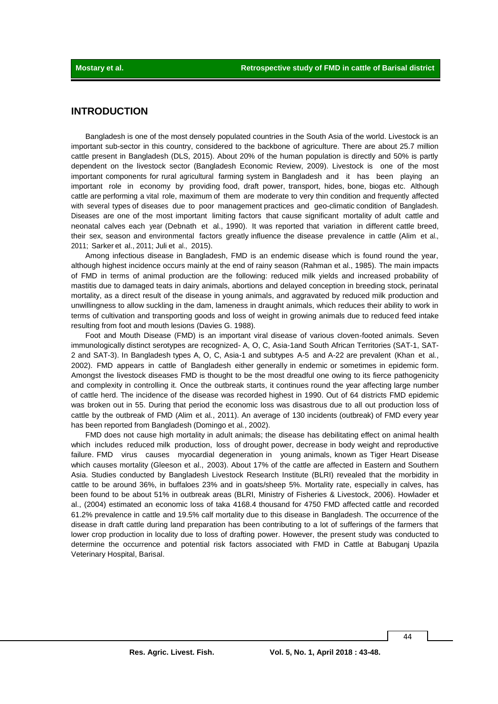# **INTRODUCTION**

Bangladesh is one of the most densely populated countries in the South Asia of the world. Livestock is an important sub-sector in this country, considered to the backbone of agriculture. There are about 25.7 million cattle present in Bangladesh (DLS, 2015). About 20% of the human population is directly and 50% is partly dependent on the livestock sector (Bangladesh Economic Review, 2009). Livestock is one of the most important components for rural agricultural farming system in Bangladesh and it has been playing an important role in economy by providing food, draft power, transport, hides, bone, biogas etc. Although cattle are performing a vital role, maximum of them are moderate to very thin condition and frequently affected with several types of diseases due to poor management practices and geo-climatic condition of Bangladesh. Diseases are one of the most important limiting factors that cause significant mortality of adult cattle and neonatal calves each year (Debnath et al., 1990). It was reported that variation in different cattle breed, their sex, season and environmental factors greatly influence the disease prevalence in cattle (Alim et al., 2011; Sarker et al., 2011; Juli et al., 2015).

Among infectious disease in Bangladesh, FMD is an endemic disease which is found round the year, although highest incidence occurs mainly at the end of rainy season (Rahman et al., 1985). The main impacts of FMD in terms of animal production are the following: reduced milk yields and increased probability of mastitis due to damaged teats in dairy animals, abortions and delayed conception in breeding stock, perinatal mortality, as a direct result of the disease in young animals, and aggravated by reduced milk production and unwillingness to allow suckling in the dam, lameness in draught animals, which reduces their ability to work in terms of cultivation and transporting goods and loss of weight in growing animals due to reduced feed intake resulting from foot and mouth lesions (Davies G. 1988).

Foot and Mouth Disease (FMD) is an important viral disease of various cloven-footed animals. Seven immunologically distinct serotypes are recognized- A, O, C, Asia-1and South African Territories (SAT-1, SAT-2 and SAT-3). In Bangladesh types A, O, C, Asia-1 and subtypes A-5 and A-22 are prevalent (Khan et al*.*, 2002). FMD appears in cattle of Bangladesh either generally in endemic or sometimes in epidemic form. Amongst the livestock diseases FMD is thought to be the most dreadful one owing to its fierce pathogenicity and complexity in controlling it. Once the outbreak starts, it continues round the year affecting large number of cattle herd. The incidence of the disease was recorded highest in 1990. Out of 64 districts FMD epidemic was broken out in 55. During that period the economic loss was disastrous due to all out production loss of cattle by the outbreak of FMD (Alim et al*.*, 2011). An average of 130 incidents (outbreak) of FMD every year has been reported from Bangladesh (Domingo et al*.*, 2002).

FMD does not cause high mortality in adult animals; the disease has debilitating effect on animal health which includes reduced milk production, loss of drought power, decrease in body weight and reproductive failure. FMD virus causes myocardial degeneration in young animals, known as Tiger Heart Disease which causes mortality (Gleeson et al., 2003). About 17% of the cattle are affected in Eastern and Southern Asia. Studies conducted by Bangladesh Livestock Research Institute (BLRI) revealed that the morbidity in cattle to be around 36%, in buffaloes 23% and in goats/sheep 5%. Mortality rate, especially in calves, has been found to be about 51% in outbreak areas (BLRI, Ministry of Fisheries & Livestock, 2006). Howlader et al., (2004) estimated an economic loss of taka 4168.4 thousand for 4750 FMD affected cattle and recorded 61.2% prevalence in cattle and 19.5% calf mortality due to this disease in Bangladesh. The occurrence of the disease in draft cattle during land preparation has been contributing to a lot of sufferings of the farmers that lower crop production in locality due to loss of drafting power. However, the present study was conducted to determine the occurrence and potential risk factors associated with FMD in Cattle at Babuganj Upazila Veterinary Hospital, Barisal.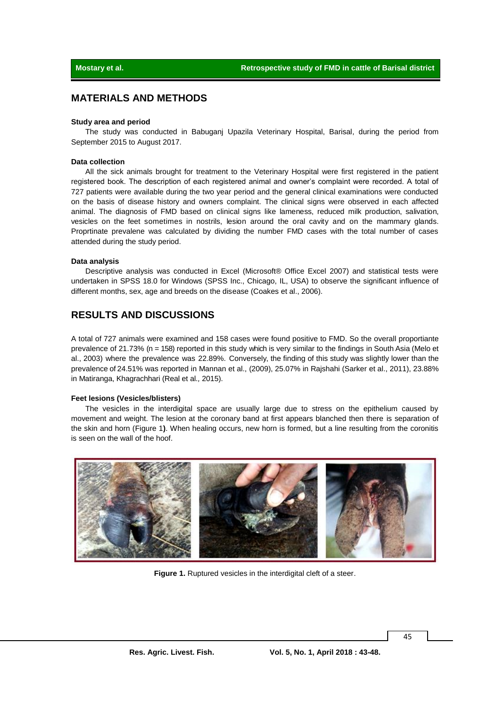# **MATERIALS AND METHODS**

#### **Study area and period**

The study was conducted in Babuganj Upazila Veterinary Hospital, Barisal, during the period from September 2015 to August 2017.

#### **Data collection**

All the sick animals brought for treatment to the Veterinary Hospital were first registered in the patient registered book. The description of each registered animal and owner's complaint were recorded. A total of 727 patients were available during the two year period and the general clinical examinations were conducted on the basis of disease history and owners complaint. The clinical signs were observed in each affected animal. The diagnosis of FMD based on clinical signs like lameness, reduced milk production, salivation, vesicles on the feet sometimes in nostrils, lesion around the oral cavity and on the mammary glands. Proprtinate prevalene was calculated by dividing the number FMD cases with the total number of cases attended during the study period.

#### **Data analysis**

Descriptive analysis was conducted in Excel (Microsoft® Office Excel 2007) and statistical tests were undertaken in SPSS 18.0 for Windows (SPSS Inc., Chicago, IL, USA) to observe the significant influence of different months, sex, age and breeds on the disease (Coakes et al., 2006).

# **RESULTS AND DISCUSSIONS**

A total of 727 animals were examined and 158 cases were found positive to FMD. So the overall proportiante prevalence of 21.73% (n = 158) reported in this study which is very similar to the findings in South Asia (Melo et al., 2003) where the prevalence was 22.89%. Conversely, the finding of this study was slightly lower than the prevalence of 24.51% was reported in Mannan et al., (2009), 25.07% in Rajshahi (Sarker et al., 2011), 23.88% in Matiranga, Khagrachhari (Real et al*.,* 2015).

### **Feet lesions (Vesicles/blisters)**

The vesicles in the interdigital space are usually large due to stress on the epithelium caused by movement and weight. The lesion at the coronary band at first appears blanched then there is separation of the skin and horn (Figure 1**)**. When healing occurs, new horn is formed, but a line resulting from the coronitis is seen on the wall of the hoof.



**Figure 1.** Ruptured vesicles in the interdigital cleft of a steer.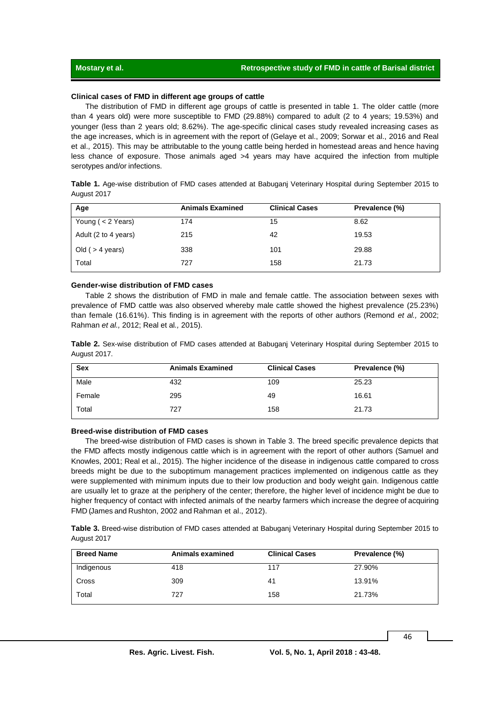## **Clinical cases of FMD in different age groups of cattle**

The distribution of FMD in different age groups of cattle is presented in table 1. The older cattle (more than 4 years old) were more susceptible to FMD (29.88%) compared to adult (2 to 4 years; 19.53%) and younger (less than 2 years old; 8.62%). The age-specific clinical cases study revealed increasing cases as the age increases, which is in agreement with the report of (Gelaye et al., 2009; Sorwar et al., 2016 and Real et al., 2015). This may be attributable to the young cattle being herded in homestead areas and hence having less chance of exposure. Those animals aged >4 years may have acquired the infection from multiple serotypes and/or infections.

|             |  |  | Table 1. Age-wise distribution of FMD cases attended at Babuganj Veterinary Hospital during September 2015 to |  |  |  |
|-------------|--|--|---------------------------------------------------------------------------------------------------------------|--|--|--|
| August 2017 |  |  |                                                                                                               |  |  |  |

| Age                  | <b>Animals Examined</b> | <b>Clinical Cases</b> | Prevalence (%) |
|----------------------|-------------------------|-----------------------|----------------|
| Young ( $<$ 2 Years) | 174                     | 15                    | 8.62           |
| Adult (2 to 4 years) | 215                     | 42                    | 19.53          |
| Old ( $>$ 4 years)   | 338                     | 101                   | 29.88          |
| Total                | 727                     | 158                   | 21.73          |

### **Gender-wise distribution of FMD cases**

Table 2 shows the distribution of FMD in male and female cattle. The association between sexes with prevalence of FMD cattle was also observed whereby male cattle showed the highest prevalence (25.23%) than female (16.61%). This finding is in agreement with the reports of other authors (Remond *et al.,* 2002; Rahman *et al.,* 2012; Real et al*.,* 2015).

**Table 2.** Sex-wise distribution of FMD cases attended at Babuganj Veterinary Hospital during September 2015 to August 2017.

| <b>Sex</b> | <b>Animals Examined</b> | <b>Clinical Cases</b> | Prevalence (%) |
|------------|-------------------------|-----------------------|----------------|
| Male       | 432                     | 109                   | 25.23          |
| Female     | 295                     | 49                    | 16.61          |
| Total      | 727                     | 158                   | 21.73          |

#### **Breed-wise distribution of FMD cases**

The breed-wise distribution of FMD cases is shown in Table 3. The breed specific prevalence depicts that the FMD affects mostly indigenous cattle which is in agreement with the report of other authors (Samuel and Knowles, 2001; Real et al., 2015). The higher incidence of the disease in indigenous cattle compared to cross breeds might be due to the suboptimum management practices implemented on indigenous cattle as they were supplemented with minimum inputs due to their low production and body weight gain. Indigenous cattle are usually let to graze at the periphery of the center; therefore, the higher level of incidence might be due to higher frequency of contact with infected animals of the nearby farmers which increase the degree of acquiring FMD (James and Rushton, 2002 and Rahman et al., 2012).

**Table 3.** Breed-wise distribution of FMD cases attended at Babuganj Veterinary Hospital during September 2015 to August 2017

| <b>Breed Name</b> | Animals examined | <b>Clinical Cases</b> | Prevalence (%) |
|-------------------|------------------|-----------------------|----------------|
| Indigenous        | 418              | 117                   | 27.90%         |
| Cross             | 309              | 41                    | 13.91%         |
| Total             | 727              | 158                   | 21.73%         |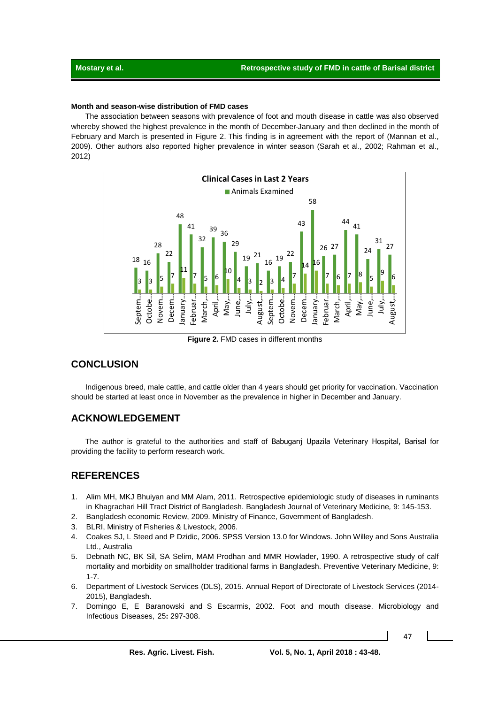## **Month and season-wise distribution of FMD cases**

The association between seasons with prevalence of foot and mouth disease in cattle was also observed whereby showed the highest prevalence in the month of December-January and then declined in the month of February and March is presented in Figure 2. This finding is in agreement with the report of (Mannan et al., 2009). Other authors also reported higher prevalence in winter season (Sarah et al., 2002; Rahman et al., 2012)



**Figure 2.** FMD cases in different months

# **CONCLUSION**

Indigenous breed, male cattle, and cattle older than 4 years should get priority for vaccination. Vaccination should be started at least once in November as the prevalence in higher in December and January.

# **ACKNOWLEDGEMENT**

The author is grateful to the authorities and staff of Babuganj Upazila Veterinary Hospital, Barisal for providing the facility to perform research work.

# **REFERENCES**

- 1. Alim MH, MKJ Bhuiyan and MM Alam, 2011. Retrospective epidemiologic study of diseases in ruminants in Khagrachari Hill Tract District of Bangladesh. Bangladesh Journal of Veterinary Medicine*,* 9: 145-153.
- 2. Bangladesh economic Review, 2009. Ministry of Finance, Government of Bangladesh.
- 3. BLRI, Ministry of Fisheries & Livestock, 2006.
- 4. Coakes SJ, L Steed and P Dzidic, 2006. SPSS Version 13.0 for Windows. John Willey and Sons Australia Ltd., Australia
- 5. Debnath NC, BK Sil, SA Selim, MAM Prodhan and MMR Howlader, 1990. A retrospective study of calf mortality and morbidity on smallholder traditional farms in Bangladesh. Preventive Veterinary Medicine, 9: 1-7.
- 6. Department of Livestock Services (DLS), 2015. Annual Report of Directorate of Livestock Services (2014- 2015), Bangladesh.
- 7. Domingo E, E Baranowski and S Escarmis, 2002. Foot and mouth disease. Microbiology and Infectious Diseases, 25**:** 297-308.